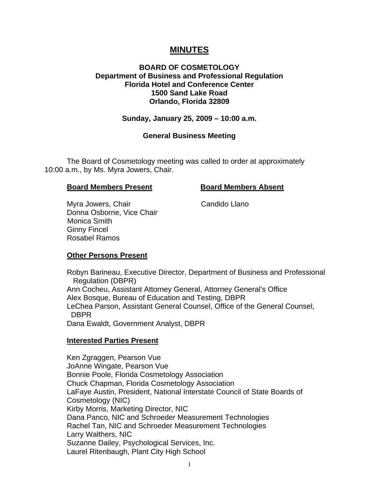# **MINUTES**

### **BOARD OF COSMETOLOGY Department of Business and Professional Regulation Florida Hotel and Conference Center 1500 Sand Lake Road Orlando, Florida 32809**

#### **Sunday, January 25, 2009 – 10:00 a.m.**

#### **General Business Meeting**

 The Board of Cosmetology meeting was called to order at approximately 10:00 a.m., by Ms. Myra Jowers, Chair.

#### **Board Members Present Board Members Absent**

Myra Jowers, Chair Chair Candido Llano Donna Osborne, Vice Chair Monica Smith Ginny Fincel Rosabel Ramos

### **Other Persons Present**

 Robyn Barineau, Executive Director, Department of Business and Professional Regulation (DBPR) Ann Cocheu, Assistant Attorney General, Attorney General's Office Alex Bosque, Bureau of Education and Testing, DBPR LeChea Parson, Assistant General Counsel, Office of the General Counsel, DBPR Dana Ewaldt, Government Analyst, DBPR

#### **Interested Parties Present**

 Ken Zgraggen, Pearson Vue JoAnne Wingate, Pearson Vue Bonnie Poole, Florida Cosmetology Association Chuck Chapman, Florida Cosmetology Association LaFaye Austin, President, National Interstate Council of State Boards of Cosmetology (NIC) Kirby Morris, Marketing Director, NIC Dana Panco, NIC and Schroeder Measurement Technologies Rachel Tan, NIC and Schroeder Measurement Technologies Larry Walthers, NIC Suzanne Dailey, Psychological Services, Inc. Laurel Ritenbaugh, Plant City High School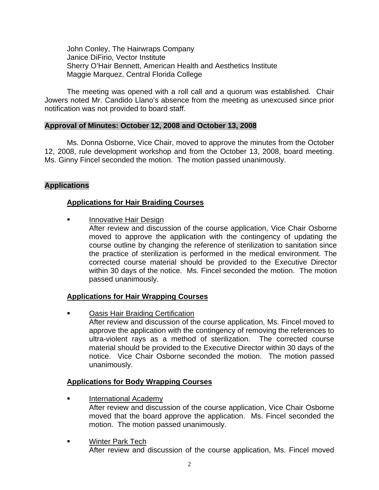John Conley, The Hairwraps Company Janice DiFirio, Vector Institute Sherry O'Hair Bennett, American Health and Aesthetics Institute Maggie Marquez, Central Florida College

 The meeting was opened with a roll call and a quorum was established. Chair Jowers noted Mr. Candido Llano's absence from the meeting as unexcused since prior notification was not provided to board staff.

#### **Approval of Minutes: October 12, 2008 and October 13, 2008**

Ms. Donna Osborne, Vice Chair, moved to approve the minutes from the October 12, 2008, rule development workshop and from the October 13, 2008, board meeting. Ms. Ginny Fincel seconded the motion. The motion passed unanimously.

### **Applications**

#### **Applications for Hair Braiding Courses**

Innovative Hair Design

After review and discussion of the course application, Vice Chair Osborne moved to approve the application with the contingency of updating the course outline by changing the reference of sterilization to sanitation since the practice of sterilization is performed in the medical environment. The corrected course material should be provided to the Executive Director within 30 days of the notice. Ms. Fincel seconded the motion. The motion passed unanimously.

### **Applications for Hair Wrapping Courses**

 Oasis Hair Braiding Certification After review and discussion of the course application, Ms. Fincel moved to approve the application with the contingency of removing the references to ultra-violent rays as a method of sterilization. The corrected course material should be provided to the Executive Director within 30 days of the notice. Vice Chair Osborne seconded the motion. The motion passed unanimously.

### **Applications for Body Wrapping Courses**

- International Academy
	- After review and discussion of the course application, Vice Chair Osborne moved that the board approve the application. Ms. Fincel seconded the motion. The motion passed unanimously.
- **EXECUTE:** Winter Park Tech After review and discussion of the course application, Ms. Fincel moved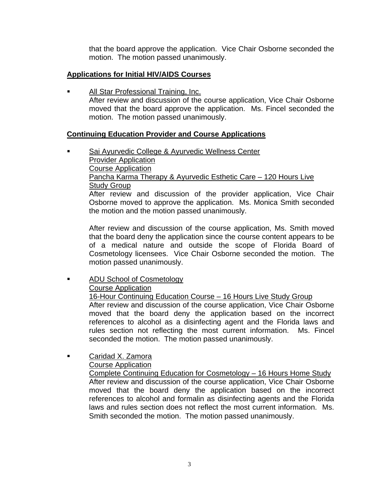that the board approve the application. Vice Chair Osborne seconded the motion. The motion passed unanimously.

# **Applications for Initial HIV/AIDS Courses**

 All Star Professional Training, Inc. After review and discussion of the course application, Vice Chair Osborne moved that the board approve the application. Ms. Fincel seconded the motion. The motion passed unanimously.

### **Continuing Education Provider and Course Applications**

 Sai Ayurvedic College & Ayurvedic Wellness Center Provider Application Course Application Pancha Karma Therapy & Ayurvedic Esthetic Care - 120 Hours Live Study Group After review and discussion of the provider application, Vice Chair Osborne moved to approve the application. Ms. Monica Smith seconded the motion and the motion passed unanimously.

After review and discussion of the course application, Ms. Smith moved that the board deny the application since the course content appears to be of a medical nature and outside the scope of Florida Board of Cosmetology licensees. Vice Chair Osborne seconded the motion. The motion passed unanimously.

**ADU School of Cosmetology**  Course Application 16-Hour Continuing Education Course – 16 Hours Live Study Group After review and discussion of the course application, Vice Chair Osborne

moved that the board deny the application based on the incorrect references to alcohol as a disinfecting agent and the Florida laws and rules section not reflecting the most current information. Ms. Fincel seconded the motion. The motion passed unanimously.

**Example 3** Caridad X. Zamora Course Application

> Complete Continuing Education for Cosmetology – 16 Hours Home Study After review and discussion of the course application, Vice Chair Osborne moved that the board deny the application based on the incorrect references to alcohol and formalin as disinfecting agents and the Florida laws and rules section does not reflect the most current information. Ms. Smith seconded the motion. The motion passed unanimously.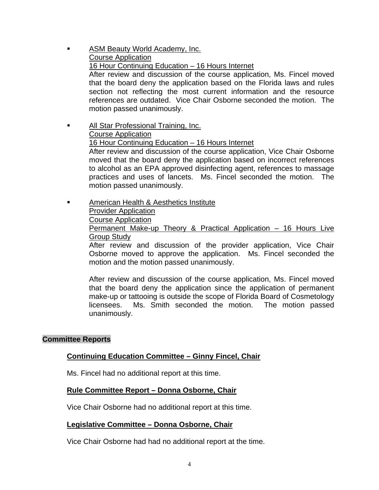- ASM Beauty World Academy, Inc. Course Application 16 Hour Continuing Education – 16 Hours Internet After review and discussion of the course application, Ms. Fincel moved that the board deny the application based on the Florida laws and rules section not reflecting the most current information and the resource references are outdated. Vice Chair Osborne seconded the motion. The motion passed unanimously.
- **All Star Professional Training, Inc.**  Course Application 16 Hour Continuing Education – 16 Hours Internet After review and discussion of the course application, Vice Chair Osborne moved that the board deny the application based on incorrect references to alcohol as an EPA approved disinfecting agent, references to massage practices and uses of lancets. Ms. Fincel seconded the motion. The motion passed unanimously.
- **EXECUTE:** American Health & Aesthetics Institute Provider Application Course Application Permanent Make-up Theory & Practical Application – 16 Hours Live Group Study

After review and discussion of the provider application, Vice Chair Osborne moved to approve the application. Ms. Fincel seconded the motion and the motion passed unanimously.

After review and discussion of the course application, Ms. Fincel moved that the board deny the application since the application of permanent make-up or tattooing is outside the scope of Florida Board of Cosmetology licensees. Ms. Smith seconded the motion. The motion passed unanimously.

### **Committee Reports**

### **Continuing Education Committee – Ginny Fincel, Chair**

Ms. Fincel had no additional report at this time.

### **Rule Committee Report – Donna Osborne, Chair**

Vice Chair Osborne had no additional report at this time.

### **Legislative Committee – Donna Osborne, Chair**

Vice Chair Osborne had had no additional report at the time.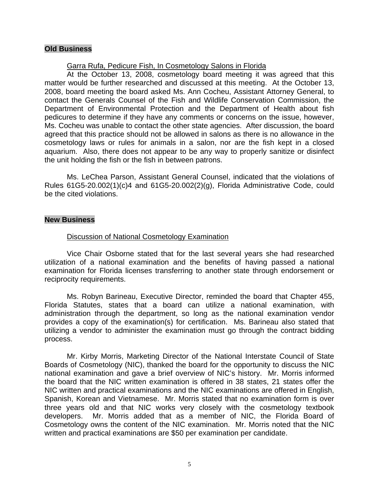### **Old Business**

#### Garra Rufa, Pedicure Fish, In Cosmetology Salons in Florida

 At the October 13, 2008, cosmetology board meeting it was agreed that this matter would be further researched and discussed at this meeting. At the October 13, 2008, board meeting the board asked Ms. Ann Cocheu, Assistant Attorney General, to contact the Generals Counsel of the Fish and Wildlife Conservation Commission, the Department of Environmental Protection and the Department of Health about fish pedicures to determine if they have any comments or concerns on the issue, however, Ms. Cocheu was unable to contact the other state agencies. After discussion, the board agreed that this practice should not be allowed in salons as there is no allowance in the cosmetology laws or rules for animals in a salon, nor are the fish kept in a closed aquarium. Also, there does not appear to be any way to properly sanitize or disinfect the unit holding the fish or the fish in between patrons.

 Ms. LeChea Parson, Assistant General Counsel, indicated that the violations of Rules 61G5-20.002(1)(c)4 and 61G5-20.002(2)(g), Florida Administrative Code, could be the cited violations.

#### **New Business**

#### Discussion of National Cosmetology Examination

 Vice Chair Osborne stated that for the last several years she had researched utilization of a national examination and the benefits of having passed a national examination for Florida licenses transferring to another state through endorsement or reciprocity requirements.

 Ms. Robyn Barineau, Executive Director, reminded the board that Chapter 455, Florida Statutes, states that a board can utilize a national examination, with administration through the department, so long as the national examination vendor provides a copy of the examination(s) for certification. Ms. Barineau also stated that utilizing a vendor to administer the examination must go through the contract bidding process.

 Mr. Kirby Morris, Marketing Director of the National Interstate Council of State Boards of Cosmetology (NIC), thanked the board for the opportunity to discuss the NIC national examination and gave a brief overview of NIC's history. Mr. Morris informed the board that the NIC written examination is offered in 38 states, 21 states offer the NIC written and practical examinations and the NIC examinations are offered in English, Spanish, Korean and Vietnamese. Mr. Morris stated that no examination form is over three years old and that NIC works very closely with the cosmetology textbook developers. Mr. Morris added that as a member of NIC, the Florida Board of Cosmetology owns the content of the NIC examination. Mr. Morris noted that the NIC written and practical examinations are \$50 per examination per candidate.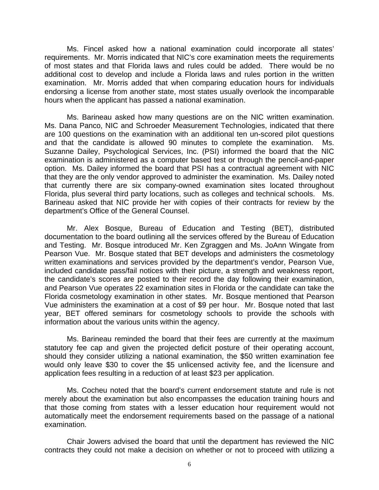Ms. Fincel asked how a national examination could incorporate all states' requirements. Mr. Morris indicated that NIC's core examination meets the requirements of most states and that Florida laws and rules could be added. There would be no additional cost to develop and include a Florida laws and rules portion in the written examination. Mr. Morris added that when comparing education hours for individuals endorsing a license from another state, most states usually overlook the incomparable hours when the applicant has passed a national examination.

 Ms. Barineau asked how many questions are on the NIC written examination. Ms. Dana Panco, NIC and Schroeder Measurement Technologies, indicated that there are 100 questions on the examination with an additional ten un-scored pilot questions and that the candidate is allowed 90 minutes to complete the examination. Ms. Suzanne Dailey, Psychological Services, Inc. (PSI) informed the board that the NIC examination is administered as a computer based test or through the pencil-and-paper option. Ms. Dailey informed the board that PSI has a contractual agreement with NIC that they are the only vendor approved to administer the examination. Ms. Dailey noted that currently there are six company-owned examination sites located throughout Florida, plus several third party locations, such as colleges and technical schools. Ms. Barineau asked that NIC provide her with copies of their contracts for review by the department's Office of the General Counsel.

 Mr. Alex Bosque, Bureau of Education and Testing (BET), distributed documentation to the board outlining all the services offered by the Bureau of Education and Testing. Mr. Bosque introduced Mr. Ken Zgraggen and Ms. JoAnn Wingate from Pearson Vue. Mr. Bosque stated that BET develops and administers the cosmetology written examinations and services provided by the department's vendor, Pearson Vue, included candidate pass/fail notices with their picture, a strength and weakness report, the candidate's scores are posted to their record the day following their examination, and Pearson Vue operates 22 examination sites in Florida or the candidate can take the Florida cosmetology examination in other states. Mr. Bosque mentioned that Pearson Vue administers the examination at a cost of \$9 per hour. Mr. Bosque noted that last year, BET offered seminars for cosmetology schools to provide the schools with information about the various units within the agency.

 Ms. Barineau reminded the board that their fees are currently at the maximum statutory fee cap and given the projected deficit posture of their operating account, should they consider utilizing a national examination, the \$50 written examination fee would only leave \$30 to cover the \$5 unlicensed activity fee, and the licensure and application fees resulting in a reduction of at least \$23 per application.

 Ms. Cocheu noted that the board's current endorsement statute and rule is not merely about the examination but also encompasses the education training hours and that those coming from states with a lesser education hour requirement would not automatically meet the endorsement requirements based on the passage of a national examination.

 Chair Jowers advised the board that until the department has reviewed the NIC contracts they could not make a decision on whether or not to proceed with utilizing a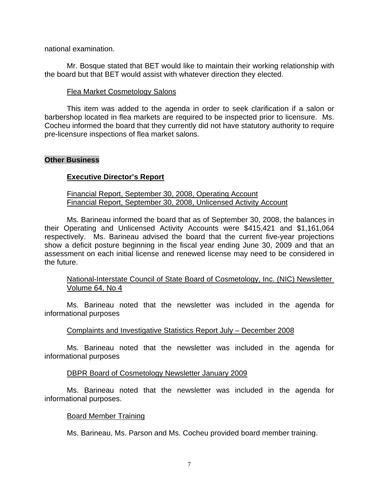national examination.

 Mr. Bosque stated that BET would like to maintain their working relationship with the board but that BET would assist with whatever direction they elected.

#### Flea Market Cosmetology Salons

 This item was added to the agenda in order to seek clarification if a salon or barbershop located in flea markets are required to be inspected prior to licensure. Ms. Cocheu informed the board that they currently did not have statutory authority to require pre-licensure inspections of flea market salons.

#### **Other Business**

#### **Executive Director's Report**

#### Financial Report, September 30, 2008, Operating Account Financial Report, September 30, 2008, Unlicensed Activity Account

 Ms. Barineau informed the board that as of September 30, 2008, the balances in their Operating and Unlicensed Activity Accounts were \$415,421 and \$1,161,064 respectively. Ms. Barineau advised the board that the current five-year projections show a deficit posture beginning in the fiscal year ending June 30, 2009 and that an assessment on each initial license and renewed license may need to be considered in the future.

#### National-Interstate Council of State Board of Cosmetology, Inc. (NIC) Newsletter Volume 64, No 4

 Ms. Barineau noted that the newsletter was included in the agenda for informational purposes

#### Complaints and Investigative Statistics Report July – December 2008

 Ms. Barineau noted that the newsletter was included in the agenda for informational purposes

#### DBPR Board of Cosmetology Newsletter January 2009

 Ms. Barineau noted that the newsletter was included in the agenda for informational purposes.

#### Board Member Training

Ms. Barineau, Ms. Parson and Ms. Cocheu provided board member training.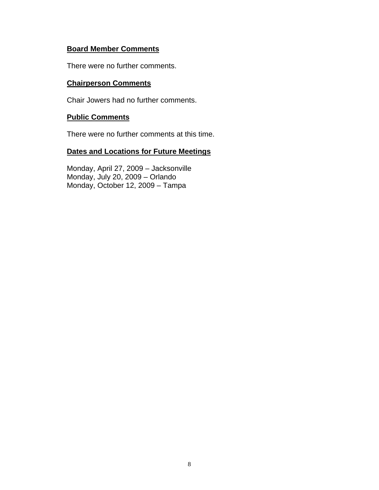# **Board Member Comments**

There were no further comments.

# **Chairperson Comments**

Chair Jowers had no further comments.

# **Public Comments**

There were no further comments at this time.

# **Dates and Locations for Future Meetings**

 Monday, April 27, 2009 – Jacksonville Monday, July 20, 2009 – Orlando Monday, October 12, 2009 – Tampa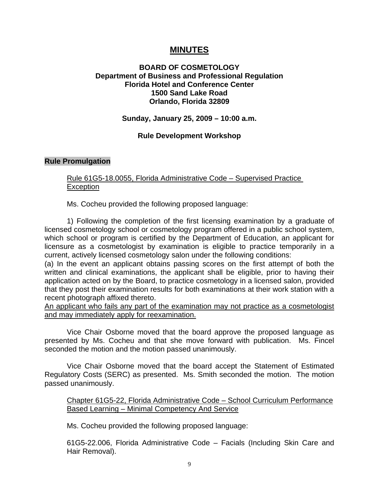# **MINUTES**

### **BOARD OF COSMETOLOGY Department of Business and Professional Regulation Florida Hotel and Conference Center 1500 Sand Lake Road Orlando, Florida 32809**

#### **Sunday, January 25, 2009 – 10:00 a.m.**

### **Rule Development Workshop**

#### **Rule Promulgation**

#### Rule 61G5-18.0055, Florida Administrative Code – Supervised Practice **Exception**

Ms. Cocheu provided the following proposed language:

 1) Following the completion of the first licensing examination by a graduate of licensed cosmetology school or cosmetology program offered in a public school system, which school or program is certified by the Department of Education, an applicant for licensure as a cosmetologist by examination is eligible to practice temporarily in a current, actively licensed cosmetology salon under the following conditions:

(a) In the event an applicant obtains passing scores on the first attempt of both the written and clinical examinations, the applicant shall be eligible, prior to having their application acted on by the Board, to practice cosmetology in a licensed salon, provided that they post their examination results for both examinations at their work station with a recent photograph affixed thereto.

An applicant who fails any part of the examination may not practice as a cosmetologist and may immediately apply for reexamination.

 Vice Chair Osborne moved that the board approve the proposed language as presented by Ms. Cocheu and that she move forward with publication. Ms. Fincel seconded the motion and the motion passed unanimously.

 Vice Chair Osborne moved that the board accept the Statement of Estimated Regulatory Costs (SERC) as presented. Ms. Smith seconded the motion. The motion passed unanimously.

Chapter 61G5-22, Florida Administrative Code – School Curriculum Performance Based Learning – Minimal Competency And Service

Ms. Cocheu provided the following proposed language:

 61G5-22.006, Florida Administrative Code – Facials (Including Skin Care and Hair Removal).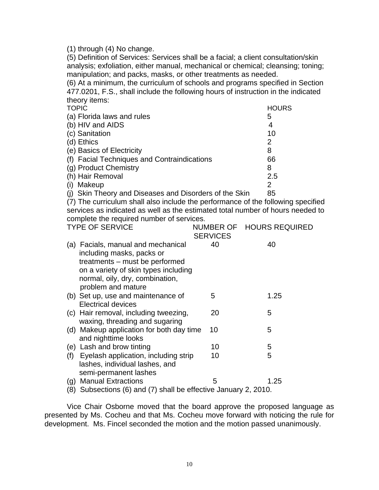(1) through (4) No change.

 (5) Definition of Services: Services shall be a facial; a client consultation/skin analysis; exfoliation, either manual, mechanical or chemical; cleansing; toning; manipulation; and packs, masks, or other treatments as needed.

 (6) At a minimum, the curriculum of schools and programs specified in Section 477.0201, F.S., shall include the following hours of instruction in the indicated theory items:

| <b>TOPIC</b>                                       | <b>HOURS</b> |
|----------------------------------------------------|--------------|
| (a) Florida laws and rules                         | 5            |
| (b) HIV and AIDS                                   | 4            |
| (c) Sanitation                                     | 10           |
| (d) Ethics                                         | 2            |
| (e) Basics of Electricity                          | 8            |
| (f) Facial Techniques and Contraindications        | 66           |
| (g) Product Chemistry                              | 8            |
| (h) Hair Removal                                   | 2.5          |
| Makeup                                             | 2            |
| Skin Theory and Diseases and Disorders of the Skin | 85           |

 (7) The curriculum shall also include the performance of the following specified services as indicated as well as the estimated total number of hours needed to complete the required number of services.

|     | <b>TYPE OF SERVICE</b>                                                                            |                 | NUMBER OF HOURS REQUIRED |  |
|-----|---------------------------------------------------------------------------------------------------|-----------------|--------------------------|--|
|     |                                                                                                   | <b>SERVICES</b> |                          |  |
|     | (a) Facials, manual and mechanical<br>including masks, packs or<br>treatments – must be performed | 40              | 40                       |  |
|     | on a variety of skin types including                                                              |                 |                          |  |
|     | normal, oily, dry, combination,<br>problem and mature                                             |                 |                          |  |
|     | (b) Set up, use and maintenance of<br><b>Electrical devices</b>                                   | 5               | 1.25                     |  |
|     | (c) Hair removal, including tweezing,<br>waxing, threading and sugaring                           | 20              | 5                        |  |
|     | (d) Makeup application for both day time<br>and nighttime looks                                   | 10              | 5                        |  |
|     | (e) Lash and brow tinting                                                                         | 10              | 5                        |  |
| (f) | Eyelash application, including strip                                                              | 10              | 5                        |  |
|     | lashes, individual lashes, and                                                                    |                 |                          |  |
|     | semi-permanent lashes                                                                             |                 |                          |  |
| (g) | <b>Manual Extractions</b>                                                                         | 5               | 1.25                     |  |
| 8)  | Subsections (6) and (7) shall be effective January 2, 2010.                                       |                 |                          |  |

 Vice Chair Osborne moved that the board approve the proposed language as presented by Ms. Cocheu and that Ms. Cocheu move forward with noticing the rule for development. Ms. Fincel seconded the motion and the motion passed unanimously.